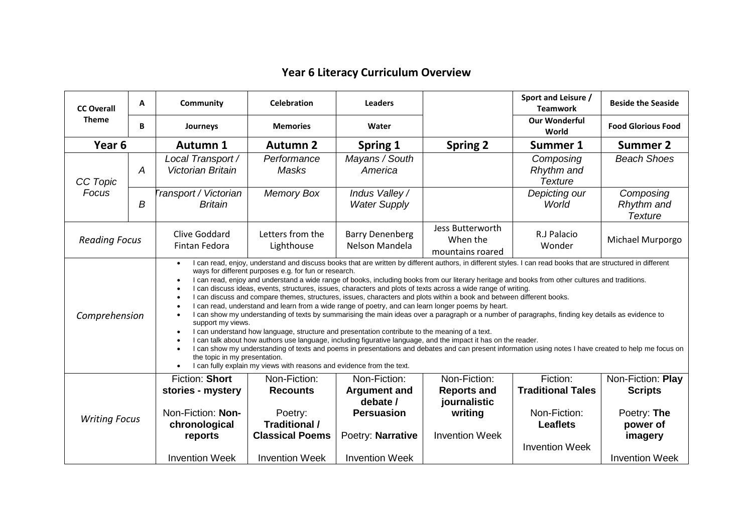## **Year 6 Literacy Curriculum Overview**

| <b>CC Overall</b><br><b>Theme</b> | A              | Community                                                                                                                                                                                                                                                                                                                                                                                                                                                                                                                                                                                                                                                                                                                                                                                                                                                                                                                                                                                                                                                                                                                                                                                                                                                                                                                                                                                                                            | <b>Celebration</b>                                                                                                    | <b>Leaders</b>                                                                                                     |                                                                                        | Sport and Leisure /<br><b>Teamwork</b>                                                           | <b>Beside the Seaside</b>                                                                          |  |  |
|-----------------------------------|----------------|--------------------------------------------------------------------------------------------------------------------------------------------------------------------------------------------------------------------------------------------------------------------------------------------------------------------------------------------------------------------------------------------------------------------------------------------------------------------------------------------------------------------------------------------------------------------------------------------------------------------------------------------------------------------------------------------------------------------------------------------------------------------------------------------------------------------------------------------------------------------------------------------------------------------------------------------------------------------------------------------------------------------------------------------------------------------------------------------------------------------------------------------------------------------------------------------------------------------------------------------------------------------------------------------------------------------------------------------------------------------------------------------------------------------------------------|-----------------------------------------------------------------------------------------------------------------------|--------------------------------------------------------------------------------------------------------------------|----------------------------------------------------------------------------------------|--------------------------------------------------------------------------------------------------|----------------------------------------------------------------------------------------------------|--|--|
|                                   | B              | Journeys                                                                                                                                                                                                                                                                                                                                                                                                                                                                                                                                                                                                                                                                                                                                                                                                                                                                                                                                                                                                                                                                                                                                                                                                                                                                                                                                                                                                                             | <b>Memories</b>                                                                                                       | Water                                                                                                              |                                                                                        | <b>Our Wonderful</b><br>World                                                                    | <b>Food Glorious Food</b>                                                                          |  |  |
| Year <sub>6</sub>                 |                | <b>Autumn 1</b>                                                                                                                                                                                                                                                                                                                                                                                                                                                                                                                                                                                                                                                                                                                                                                                                                                                                                                                                                                                                                                                                                                                                                                                                                                                                                                                                                                                                                      | <b>Autumn 2</b>                                                                                                       | <b>Spring 1</b>                                                                                                    | <b>Spring 2</b>                                                                        | Summer 1                                                                                         | <b>Summer 2</b>                                                                                    |  |  |
| CC Topic<br>Focus                 | $\overline{A}$ | Local Transport /<br><b>Victorian Britain</b>                                                                                                                                                                                                                                                                                                                                                                                                                                                                                                                                                                                                                                                                                                                                                                                                                                                                                                                                                                                                                                                                                                                                                                                                                                                                                                                                                                                        | Performance<br>Masks                                                                                                  | Mayans / South<br>America                                                                                          |                                                                                        | Composing<br>Rhythm and<br><b>Texture</b>                                                        | <b>Beach Shoes</b>                                                                                 |  |  |
|                                   | B              | Transport / Victorian<br><b>Britain</b>                                                                                                                                                                                                                                                                                                                                                                                                                                                                                                                                                                                                                                                                                                                                                                                                                                                                                                                                                                                                                                                                                                                                                                                                                                                                                                                                                                                              | <b>Memory Box</b>                                                                                                     | Indus Valley /<br><b>Water Supply</b>                                                                              |                                                                                        | Depicting our<br>World                                                                           | Composing<br>Rhythm and<br><b>Texture</b>                                                          |  |  |
| <b>Reading Focus</b>              |                | <b>Clive Goddard</b><br>Fintan Fedora                                                                                                                                                                                                                                                                                                                                                                                                                                                                                                                                                                                                                                                                                                                                                                                                                                                                                                                                                                                                                                                                                                                                                                                                                                                                                                                                                                                                | Letters from the<br>Lighthouse                                                                                        | <b>Barry Denenberg</b><br>Nelson Mandela                                                                           | Jess Butterworth<br>When the<br>mountains roared                                       | R.J Palacio<br>Wonder                                                                            | Michael Murporgo                                                                                   |  |  |
| Comprehension                     |                | I can read, enjoy, understand and discuss books that are written by different authors, in different styles. I can read books that are structured in different<br>$\bullet$<br>ways for different purposes e.g. for fun or research.<br>I can read, enjoy and understand a wide range of books, including books from our literary heritage and books from other cultures and traditions.<br>I can discuss ideas, events, structures, issues, characters and plots of texts across a wide range of writing.<br>I can discuss and compare themes, structures, issues, characters and plots within a book and between different books.<br>$\bullet$<br>I can read, understand and learn from a wide range of poetry, and can learn longer poems by heart.<br>I can show my understanding of texts by summarising the main ideas over a paragraph or a number of paragraphs, finding key details as evidence to<br>support my views.<br>I can understand how language, structure and presentation contribute to the meaning of a text.<br>$\bullet$<br>I can talk about how authors use language, including figurative language, and the impact it has on the reader.<br>I can show my understanding of texts and poems in presentations and debates and can present information using notes I have created to help me focus on<br>the topic in my presentation.<br>I can fully explain my views with reasons and evidence from the text. |                                                                                                                       |                                                                                                                    |                                                                                        |                                                                                                  |                                                                                                    |  |  |
| <b>Writing Focus</b>              |                | Fiction: Short<br>stories - mystery<br>Non-Fiction: Non-<br>chronological<br>reports<br><b>Invention Week</b>                                                                                                                                                                                                                                                                                                                                                                                                                                                                                                                                                                                                                                                                                                                                                                                                                                                                                                                                                                                                                                                                                                                                                                                                                                                                                                                        | Non-Fiction:<br><b>Recounts</b><br>Poetry:<br><b>Traditional /</b><br><b>Classical Poems</b><br><b>Invention Week</b> | Non-Fiction:<br><b>Argument and</b><br>debate /<br><b>Persuasion</b><br>Poetry: Narrative<br><b>Invention Week</b> | Non-Fiction:<br><b>Reports and</b><br>journalistic<br>writing<br><b>Invention Week</b> | Fiction:<br><b>Traditional Tales</b><br>Non-Fiction:<br><b>Leaflets</b><br><b>Invention Week</b> | Non-Fiction: Play<br><b>Scripts</b><br>Poetry: The<br>power of<br>imagery<br><b>Invention Week</b> |  |  |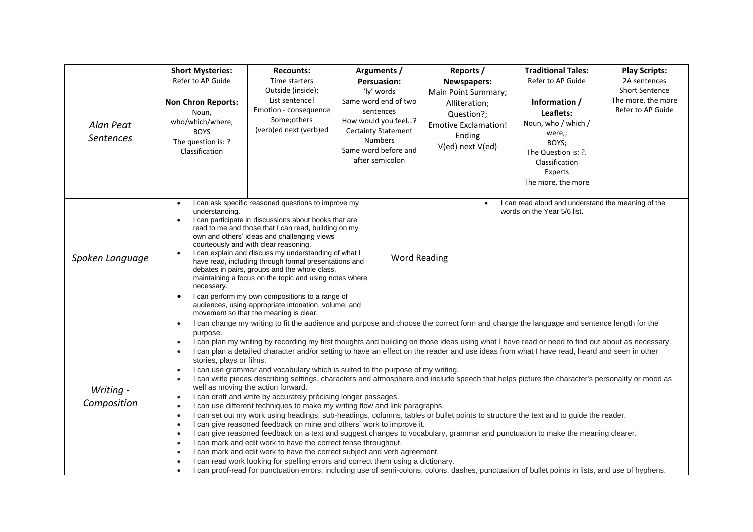| Alan Peat<br><b>Sentences</b> | <b>Short Mysteries:</b><br>Refer to AP Guide<br><b>Non Chron Reports:</b><br>Noun,<br>who/which/where,<br><b>BOYS</b><br>The question is: ?<br>Classification                                                                                                                                                                                                                                                                                                                                                                                                                                                                                                                                                                                                                                                                                                                                                                                                                                                                                                                                                                                                                                                                                                                                                                                                                                                                                                                                                                                                                                                                                                                                                                                                                                       | <b>Recounts:</b><br>Time starters<br>Outside (inside);<br>List sentence!<br>Emotion - consequence<br>Some; others<br>(verb)ed next (verb)ed |                     | Arguments /<br><b>Persuasion:</b><br>'ly' words<br>Same word end of two<br>sentences<br>How would you feel?<br><b>Certainty Statement</b><br><b>Numbers</b><br>Same word before and<br>after semicolon |           | Reports /<br>Newspapers:<br>Main Point Summary;<br>Alliteration;<br>Question?;<br><b>Emotive Exclamation!</b><br>Ending<br>V(ed) next V(ed) | <b>Traditional Tales:</b><br>Refer to AP Guide<br>Information /<br>Leaflets:<br>Noun, who / which /<br>were,;<br>BOYS;<br>The Question is: ?.<br>Classification<br>Experts<br>The more, the more | <b>Play Scripts:</b><br>2A sentences<br><b>Short Sentence</b><br>The more, the more<br>Refer to AP Guide |
|-------------------------------|-----------------------------------------------------------------------------------------------------------------------------------------------------------------------------------------------------------------------------------------------------------------------------------------------------------------------------------------------------------------------------------------------------------------------------------------------------------------------------------------------------------------------------------------------------------------------------------------------------------------------------------------------------------------------------------------------------------------------------------------------------------------------------------------------------------------------------------------------------------------------------------------------------------------------------------------------------------------------------------------------------------------------------------------------------------------------------------------------------------------------------------------------------------------------------------------------------------------------------------------------------------------------------------------------------------------------------------------------------------------------------------------------------------------------------------------------------------------------------------------------------------------------------------------------------------------------------------------------------------------------------------------------------------------------------------------------------------------------------------------------------------------------------------------------------|---------------------------------------------------------------------------------------------------------------------------------------------|---------------------|--------------------------------------------------------------------------------------------------------------------------------------------------------------------------------------------------------|-----------|---------------------------------------------------------------------------------------------------------------------------------------------|--------------------------------------------------------------------------------------------------------------------------------------------------------------------------------------------------|----------------------------------------------------------------------------------------------------------|
| Spoken Language               | I can ask specific reasoned questions to improve my<br>$\bullet$<br>understanding.<br>I can participate in discussions about books that are<br>$\bullet$<br>read to me and those that I can read, building on my<br>own and others' ideas and challenging views<br>courteously and with clear reasoning.<br>I can explain and discuss my understanding of what I<br>have read, including through formal presentations and<br>debates in pairs, groups and the whole class,<br>maintaining a focus on the topic and using notes where<br>necessary.<br>I can perform my own compositions to a range of<br>audiences, using appropriate intonation, volume, and<br>movement so that the meaning is clear.                                                                                                                                                                                                                                                                                                                                                                                                                                                                                                                                                                                                                                                                                                                                                                                                                                                                                                                                                                                                                                                                                             |                                                                                                                                             | <b>Word Reading</b> |                                                                                                                                                                                                        | $\bullet$ | I can read aloud and understand the meaning of the<br>words on the Year 5/6 list.                                                           |                                                                                                                                                                                                  |                                                                                                          |
| Writing -<br>Composition      | I can change my writing to fit the audience and purpose and choose the correct form and change the language and sentence length for the<br>$\bullet$<br>purpose.<br>I can plan my writing by recording my first thoughts and building on those ideas using what I have read or need to find out about as necessary.<br>$\bullet$<br>I can plan a detailed character and/or setting to have an effect on the reader and use ideas from what I have read, heard and seen in other<br>$\bullet$<br>stories, plays or films.<br>I can use grammar and vocabulary which is suited to the purpose of my writing.<br>$\bullet$<br>I can write pieces describing settings, characters and atmosphere and include speech that helps picture the character's personality or mood as<br>$\bullet$<br>well as moving the action forward.<br>I can draft and write by accurately précising longer passages.<br>$\bullet$<br>I can use different techniques to make my writing flow and link paragraphs.<br>$\bullet$<br>I can set out my work using headings, sub-headings, columns, tables or bullet points to structure the text and to guide the reader.<br>$\bullet$<br>I can give reasoned feedback on mine and others' work to improve it.<br>$\bullet$<br>I can give reasoned feedback on a text and suggest changes to vocabulary, grammar and punctuation to make the meaning clearer.<br>$\bullet$<br>I can mark and edit work to have the correct tense throughout.<br>$\bullet$<br>I can mark and edit work to have the correct subject and verb agreement.<br>I can read work looking for spelling errors and correct them using a dictionary.<br>I can proof-read for punctuation errors, including use of semi-colons, colons, dashes, punctuation of bullet points in lists, and use of hyphens. |                                                                                                                                             |                     |                                                                                                                                                                                                        |           |                                                                                                                                             |                                                                                                                                                                                                  |                                                                                                          |